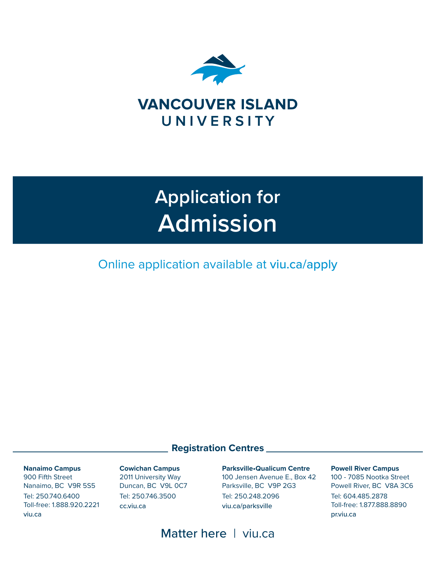

# **Application for Admission**

Online application available at viu.ca/apply

### **Registration Centres**

**Nanaimo Campus** 900 Fifth Street Nanaimo, BC V9R 5S5 Tel: 250.740.6400 Toll-free: 1.888.920.2221 viu.ca

**Cowichan Campus** 2011 University Way Duncan, BC V9L 0C7 Tel: 250.746.3500 cc.viu.ca

**Parksville•Qualicum Centre** 100 Jensen Avenue E., Box 42 Parksville, BC V9P 2G3 Tel: 250.248.2096 viu.ca/parksville

**Powell River Campus** 100 - 7085 Nootka Street Powell River, BC V8A 3C6 Tel: 604.485.2878 Toll-free: 1.877.888.8890 pr.viu.ca

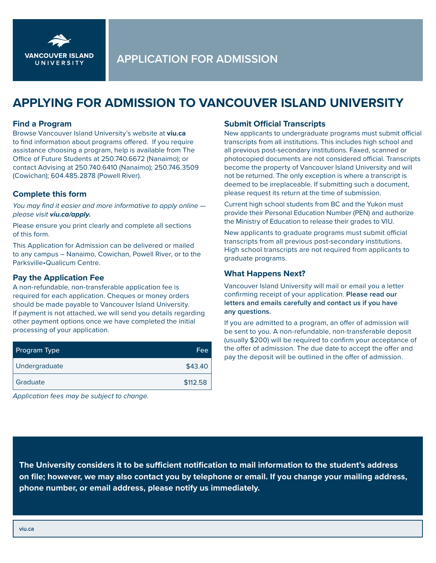

## **APPLYING FOR ADMISSION TO VANCOUVER ISLAND UNIVERSITY**

#### **Find a Program**

Browse Vancouver Island University's website at **viu.ca**  to find information about programs offered. If you require assistance choosing a program, help is available from The Office of Future Students at 250.740.6672 (Nanaimo); or contact Advising at 250.740.6410 (Nanaimo); 250.746.3509 (Cowichan); 604.485.2878 (Powell River).

#### **Complete this form**

*You may find it easier and more informative to apply online please visit viu.ca/apply.* 

Please ensure you print clearly and complete all sections of this form.

This Application for Admission can be delivered or mailed to any campus – Nanaimo, Cowichan, Powell River, or to the Parksville•Qualicum Centre.

#### **Pay the Application Fee**

A non-refundable, non-transferable application fee is required for each application. Cheques or money orders should be made payable to Vancouver Island University. If payment is not attached, we will send you details regarding other payment options once we have completed the initial processing of your application.

| <b>Program Type</b> | Fee      |
|---------------------|----------|
| Undergraduate       | \$43.40  |
| Graduate            | \$112.58 |

*Application fees may be subject to change.* 

#### **Submit Official Transcripts**

New applicants to undergraduate programs must submit official transcripts from all institutions. This includes high school and all previous post-secondary institutions. Faxed, scanned or photocopied documents are not considered official. Transcripts become the property of Vancouver Island University and will not be returned. The only exception is where a transcript is deemed to be irreplaceable. If submitting such a document, please request its return at the time of submission.

Current high school students from BC and the Yukon must provide their Personal Education Number (PEN) and authorize the Ministry of Education to release their grades to VIU.

New applicants to graduate programs must submit official transcripts from all previous post-secondary institutions. High school transcripts are not required from applicants to graduate programs.

#### **What Happens Next?**

Vancouver Island University will mail or email you a letter confirming receipt of your application. **Please read our letters and emails carefully and contact us if you have any questions.**

If you are admitted to a program, an offer of admission will be sent to you. A non-refundable, non-transferable deposit (usually \$200) will be required to confirm your acceptance of the offer of admission. The due date to accept the offer and pay the deposit will be outlined in the offer of admission.

**The University considers it to be sufficient notification to mail information to the student's address on file; however, we may also contact you by telephone or email. If you change your mailing address, phone number, or email address, please notify us immediately.**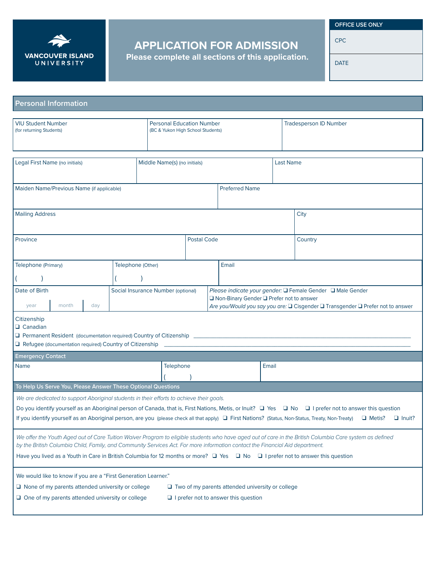

## **APPLICATION FOR ADMISSION**

**Please complete all sections of this application.**

 **OFFICE USE ONLY**

CPC

DATE

| <b>Personal Information</b>                                                                                                                                                                                                                                                                                                                                                                                                                                                                        |                                    |                   |                                                                       |                       |                                                                                                                                                                                             |       |                  |         |                               |  |  |
|----------------------------------------------------------------------------------------------------------------------------------------------------------------------------------------------------------------------------------------------------------------------------------------------------------------------------------------------------------------------------------------------------------------------------------------------------------------------------------------------------|------------------------------------|-------------------|-----------------------------------------------------------------------|-----------------------|---------------------------------------------------------------------------------------------------------------------------------------------------------------------------------------------|-------|------------------|---------|-------------------------------|--|--|
| <b>VIU Student Number</b><br>(for returning Students)                                                                                                                                                                                                                                                                                                                                                                                                                                              |                                    |                   | <b>Personal Education Number</b><br>(BC & Yukon High School Students) |                       |                                                                                                                                                                                             |       |                  |         | <b>Tradesperson ID Number</b> |  |  |
| Legal First Name (no initials)<br>Middle Name(s) (no initials)                                                                                                                                                                                                                                                                                                                                                                                                                                     |                                    |                   |                                                                       |                       |                                                                                                                                                                                             |       | <b>Last Name</b> |         |                               |  |  |
| Maiden Name/Previous Name (if applicable)                                                                                                                                                                                                                                                                                                                                                                                                                                                          |                                    |                   |                                                                       | <b>Preferred Name</b> |                                                                                                                                                                                             |       |                  |         |                               |  |  |
| <b>Mailing Address</b>                                                                                                                                                                                                                                                                                                                                                                                                                                                                             |                                    |                   |                                                                       |                       |                                                                                                                                                                                             |       | City             |         |                               |  |  |
| Province                                                                                                                                                                                                                                                                                                                                                                                                                                                                                           |                                    |                   | <b>Postal Code</b>                                                    |                       |                                                                                                                                                                                             |       |                  | Country |                               |  |  |
| Telephone (Primary)                                                                                                                                                                                                                                                                                                                                                                                                                                                                                |                                    | Telephone (Other) |                                                                       |                       |                                                                                                                                                                                             | Email |                  |         |                               |  |  |
| Date of Birth<br>month<br>day<br>year                                                                                                                                                                                                                                                                                                                                                                                                                                                              | Social Insurance Number (optional) |                   |                                                                       |                       | Please indicate your gender: □ Female Gender □ Male Gender<br>□ Non-Binary Gender □ Prefer not to answer<br>Are you/Would you say you are: □ Cisgender □ Transgender □ Prefer not to answer |       |                  |         |                               |  |  |
| Citizenship<br>$\Box$ Canadian<br>Refugee (documentation required) Country of Citizenship                                                                                                                                                                                                                                                                                                                                                                                                          |                                    |                   |                                                                       |                       |                                                                                                                                                                                             |       |                  |         |                               |  |  |
| <b>Emergency Contact</b>                                                                                                                                                                                                                                                                                                                                                                                                                                                                           |                                    |                   |                                                                       |                       |                                                                                                                                                                                             |       |                  |         |                               |  |  |
| Telephone<br>Name                                                                                                                                                                                                                                                                                                                                                                                                                                                                                  |                                    |                   |                                                                       |                       | Email                                                                                                                                                                                       |       |                  |         |                               |  |  |
| To Help Us Serve You, Please Answer These Optional Questions<br>We are dedicated to support Aboriginal students in their efforts to achieve their goals.<br>Do you identify yourself as an Aboriginal person of Canada, that is, First Nations, Metis, or Inuit? □ Yes □ No □ I prefer not to answer this question<br>If you identify yourself as an Aboriginal person, are you (please check all that apply) □ First Nations? (Status, Non-Status, Treaty, Non-Treaty)<br>Metis?<br>$\Box$ Inuit? |                                    |                   |                                                                       |                       |                                                                                                                                                                                             |       |                  |         |                               |  |  |
| We offer the Youth Aged out of Care Tuition Waiver Program to eligible students who have aged out of care in the British Columbia Care system as defined<br>by the British Columbia Child, Family, and Community Services Act. For more information contact the Financial Aid department.<br>Have you lived as a Youth in Care in British Columbia for 12 months or more? $\Box$ Yes $\Box$ No $\Box$ I prefer not to answer this question                                                         |                                    |                   |                                                                       |                       |                                                                                                                                                                                             |       |                  |         |                               |  |  |
| We would like to know if you are a "First Generation Learner."<br>$\Box$ None of my parents attended university or college<br>$\Box$ Two of my parents attended university or college<br>$\Box$ One of my parents attended university or college<br>$\Box$ I prefer not to answer this question                                                                                                                                                                                                    |                                    |                   |                                                                       |                       |                                                                                                                                                                                             |       |                  |         |                               |  |  |